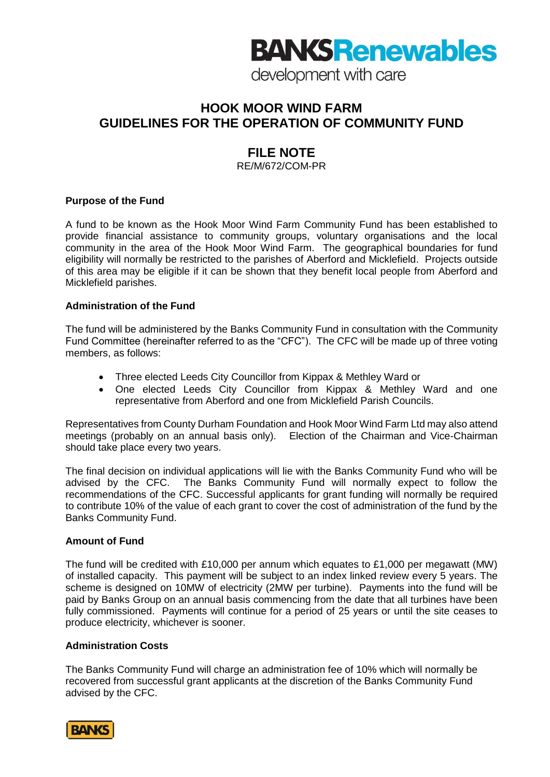# **BANKS Renewables**

development with care

# **HOOK MOOR WIND FARM GUIDELINES FOR THE OPERATION OF COMMUNITY FUND**

# **FILE NOTE**

RE/M/672/COM-PR

## **Purpose of the Fund**

A fund to be known as the Hook Moor Wind Farm Community Fund has been established to provide financial assistance to community groups, voluntary organisations and the local community in the area of the Hook Moor Wind Farm. The geographical boundaries for fund eligibility will normally be restricted to the parishes of Aberford and Micklefield. Projects outside of this area may be eligible if it can be shown that they benefit local people from Aberford and Micklefield parishes.

## **Administration of the Fund**

The fund will be administered by the Banks Community Fund in consultation with the Community Fund Committee (hereinafter referred to as the "CFC"). The CFC will be made up of three voting members, as follows:

- Three elected Leeds City Councillor from Kippax & Methley Ward or
- One elected Leeds City Councillor from Kippax & Methley Ward and one representative from Aberford and one from Micklefield Parish Councils.

Representatives from County Durham Foundation and Hook Moor Wind Farm Ltd may also attend meetings (probably on an annual basis only). Election of the Chairman and Vice-Chairman should take place every two years.

The final decision on individual applications will lie with the Banks Community Fund who will be advised by the CFC. The Banks Community Fund will normally expect to follow the recommendations of the CFC. Successful applicants for grant funding will normally be required to contribute 10% of the value of each grant to cover the cost of administration of the fund by the Banks Community Fund.

#### **Amount of Fund**

The fund will be credited with £10,000 per annum which equates to £1,000 per megawatt (MW) of installed capacity. This payment will be subject to an index linked review every 5 years. The scheme is designed on 10MW of electricity (2MW per turbine). Payments into the fund will be paid by Banks Group on an annual basis commencing from the date that all turbines have been fully commissioned. Payments will continue for a period of 25 years or until the site ceases to produce electricity, whichever is sooner.

#### **Administration Costs**

The Banks Community Fund will charge an administration fee of 10% which will normally be recovered from successful grant applicants at the discretion of the Banks Community Fund advised by the CFC.

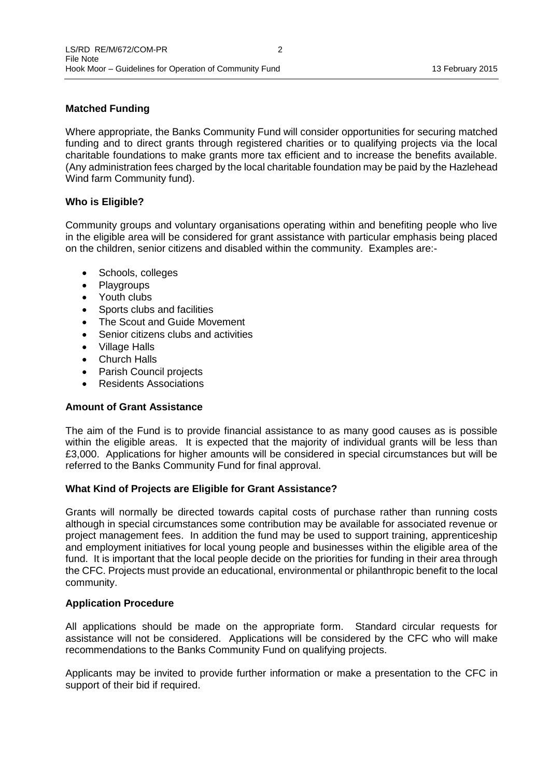# **Matched Funding**

Where appropriate, the Banks Community Fund will consider opportunities for securing matched funding and to direct grants through registered charities or to qualifying projects via the local charitable foundations to make grants more tax efficient and to increase the benefits available. (Any administration fees charged by the local charitable foundation may be paid by the Hazlehead Wind farm Community fund).

## **Who is Eligible?**

Community groups and voluntary organisations operating within and benefiting people who live in the eligible area will be considered for grant assistance with particular emphasis being placed on the children, senior citizens and disabled within the community. Examples are:-

- Schools, colleges
- Playgroups
- Youth clubs
- Sports clubs and facilities
- The Scout and Guide Movement
- Senior citizens clubs and activities
- Village Halls
- Church Halls
- Parish Council projects
- Residents Associations

## **Amount of Grant Assistance**

The aim of the Fund is to provide financial assistance to as many good causes as is possible within the eligible areas. It is expected that the majority of individual grants will be less than £3,000. Applications for higher amounts will be considered in special circumstances but will be referred to the Banks Community Fund for final approval.

#### **What Kind of Projects are Eligible for Grant Assistance?**

Grants will normally be directed towards capital costs of purchase rather than running costs although in special circumstances some contribution may be available for associated revenue or project management fees. In addition the fund may be used to support training, apprenticeship and employment initiatives for local young people and businesses within the eligible area of the fund. It is important that the local people decide on the priorities for funding in their area through the CFC. Projects must provide an educational, environmental or philanthropic benefit to the local community.

#### **Application Procedure**

All applications should be made on the appropriate form. Standard circular requests for assistance will not be considered. Applications will be considered by the CFC who will make recommendations to the Banks Community Fund on qualifying projects.

Applicants may be invited to provide further information or make a presentation to the CFC in support of their bid if required.